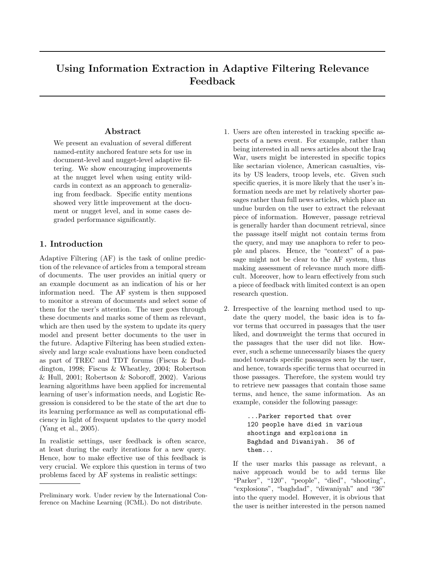# Using Information Extraction in Adaptive Filtering Relevance Feedback

# Abstract

We present an evaluation of several different named-entity anchored feature sets for use in document-level and nugget-level adaptive filtering. We show encouraging improvements at the nugget level when using entity wildcards in context as an approach to generalizing from feedback. Specific entity mentions showed very little improvement at the document or nugget level, and in some cases degraded performance significantly.

# 1. Introduction

Adaptive Filtering (AF) is the task of online prediction of the relevance of articles from a temporal stream of documents. The user provides an initial query or an example document as an indication of his or her information need. The AF system is then supposed to monitor a stream of documents and select some of them for the user's attention. The user goes through these documents and marks some of them as relevant, which are then used by the system to update its query model and present better documents to the user in the future. Adaptive Filtering has been studied extensively and large scale evaluations have been conducted as part of TREC and TDT forums (Fiscus & Duddington, 1998; Fiscus & Wheatley, 2004; Robertson & Hull, 2001; Robertson & Soboroff, 2002). Various learning algorithms have been applied for incremental learning of user's information needs, and Logistic Regression is considered to be the state of the art due to its learning performance as well as computational efficiency in light of frequent updates to the query model (Yang et al., 2005).

In realistic settings, user feedback is often scarce, at least during the early iterations for a new query. Hence, how to make effective use of this feedback is very crucial. We explore this question in terms of two problems faced by AF systems in realistic settings:

- 1. Users are often interested in tracking specific aspects of a news event. For example, rather than being interested in all news articles about the Iraq War, users might be interested in specific topics like sectarian violence, American casualties, visits by US leaders, troop levels, etc. Given such specific queries, it is more likely that the user's information needs are met by relatively shorter passages rather than full news articles, which place an undue burden on the user to extract the relevant piece of information. However, passage retrieval is generally harder than document retrieval, since the passage itself might not contain terms from the query, and may use anaphora to refer to people and places. Hence, the "context" of a passage might not be clear to the AF system, thus making assessment of relevance much more difficult. Moreover, how to learn effectively from such a piece of feedback with limited context is an open research question.
- 2. Irrespective of the learning method used to update the query model, the basic idea is to favor terms that occurred in passages that the user liked, and downweight the terms that occured in the passages that the user did not like. However, such a scheme unnecessarily biases the query model towards specific passages seen by the user, and hence, towards specific terms that occurred in those passages. Therefore, the system would try to retrieve new passages that contain those same terms, and hence, the same information. As an example, consider the following passage:

...Parker reported that over 120 people have died in various shootings and explosions in Baghdad and Diwaniyah. 36 of them...

If the user marks this passage as relevant, a naive approach would be to add terms like "Parker", "120", "people", "died", "shooting", "explosions", "baghdad", "diwaniyah" and "36" into the query model. However, it is obvious that the user is neither interested in the person named

Preliminary work. Under review by the International Conference on Machine Learning (ICML). Do not distribute.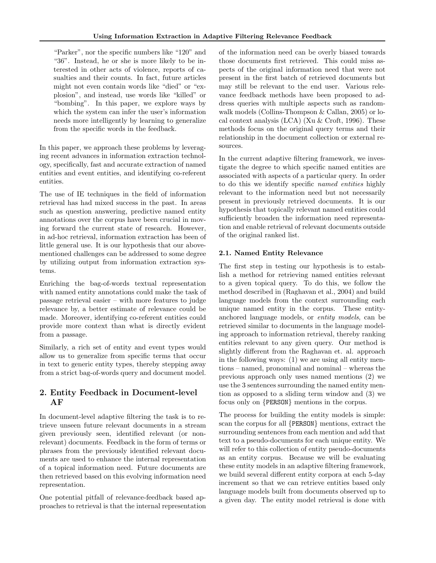"Parker", nor the specific numbers like "120" and "36". Instead, he or she is more likely to be interested in other acts of violence, reports of casualties and their counts. In fact, future articles might not even contain words like "died" or "explosion", and instead, use words like "killed" or "bombing". In this paper, we explore ways by which the system can infer the user's information needs more intelligently by learning to generalize from the specific words in the feedback.

In this paper, we approach these problems by leveraging recent advances in information extraction technology, specifically, fast and accurate extraction of named entities and event entities, and identifying co-referent entities.

The use of IE techniques in the field of information retrieval has had mixed success in the past. In areas such as question answering, predictive named entity annotations over the corpus have been crucial in moving forward the current state of research. However, in ad-hoc retrieval, information extraction has been of little general use. It is our hypothesis that our abovementioned challenges can be addressed to some degree by utilizing output from information extraction systems.

Enriching the bag-of-words textual representation with named entity annotations could make the task of passage retrieval easier – with more features to judge relevance by, a better estimate of relevance could be made. Moreover, identifying co-referent entities could provide more context than what is directly evident from a passage.

Similarly, a rich set of entity and event types would allow us to generalize from specific terms that occur in text to generic entity types, thereby stepping away from a strict bag-of-words query and document model.

# 2. Entity Feedback in Document-level AF

In document-level adaptive filtering the task is to retrieve unseen future relevant documents in a stream given previously seen, identified relevant (or nonrelevant) documents. Feedback in the form of terms or phrases from the previously identified relevant documents are used to enhance the internal representation of a topical information need. Future documents are then retrieved based on this evolving information need representation.

One potential pitfall of relevance-feedback based approaches to retrieval is that the internal representation of the information need can be overly biased towards those documents first retrieved. This could miss aspects of the original information need that were not present in the first batch of retrieved documents but may still be relevant to the end user. Various relevance feedback methods have been proposed to address queries with multiple aspects such as randomwalk models (Collins-Thompson & Callan, 2005) or local context analysis (LCA) (Xu & Croft, 1996). These methods focus on the original query terms and their relationship in the document collection or external resources.

In the current adaptive filtering framework, we investigate the degree to which specific named entities are associated with aspects of a particular query. In order to do this we identify specific named entities highly relevant to the information need but not necessarily present in previously retrieved documents. It is our hypothesis that topically relevant named entities could sufficiently broaden the information need representation and enable retrieval of relevant documents outside of the original ranked list.

# 2.1. Named Entity Relevance

The first step in testing our hypothesis is to establish a method for retrieving named entities relevant to a given topical query. To do this, we follow the method described in (Raghavan et al., 2004) and build language models from the context surrounding each unique named entity in the corpus. These entityanchored language models, or entity models, can be retrieved similar to documents in the language modeling approach to information retrieval, thereby ranking entities relevant to any given query. Our method is slightly different from the Raghavan et. al. approach in the following ways: (1) we are using all entity mentions – named, pronominal and nominal – whereas the previous approach only uses named mentions (2) we use the 3 sentences surrounding the named entity mention as opposed to a sliding term window and (3) we focus only on {PERSON} mentions in the corpus.

The process for building the entity models is simple: scan the corpus for all {PERSON} mentions, extract the surrounding sentences from each mention and add that text to a pseudo-documents for each unique entity. We will refer to this collection of entity pseudo-documents as an entity corpus. Because we will be evaluating these entity models in an adaptive filtering framework, we build several different entity corpora at each 5-day increment so that we can retrieve entities based only language models built from documents observed up to a given day. The entity model retrieval is done with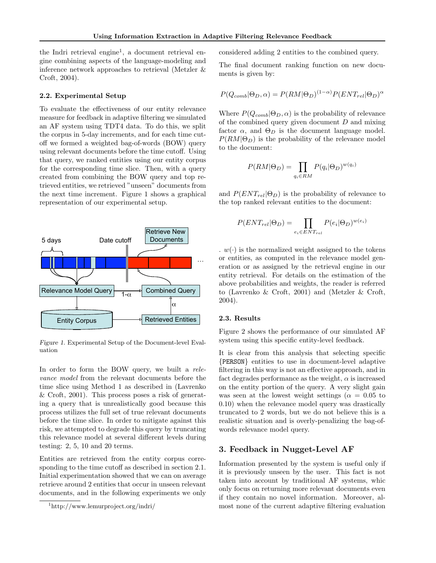the Indri retrieval engine<sup>1</sup>, a document retrieval engine combining aspects of the language-modeling and inference network approaches to retrieval (Metzler & Croft, 2004).

#### 2.2. Experimental Setup

To evaluate the effectiveness of our entity relevance measure for feedback in adaptive filtering we simulated an AF system using TDT4 data. To do this, we split the corpus in 5-day increments, and for each time cutoff we formed a weighted bag-of-words (BOW) query using relevant documents before the time cutoff. Using that query, we ranked entities using our entity corpus for the corresponding time slice. Then, with a query created from combining the BOW query and top retrieved entities, we retrieved "unseen" documents from the next time increment. Figure 1 shows a graphical representation of our experimental setup.



Figure 1. Experimental Setup of the Document-level Evaluation

In order to form the BOW query, we built a relevance model from the relevant documents before the time slice using Method 1 as described in (Lavrenko & Croft, 2001). This process poses a risk of generating a query that is unrealistically good because this process utilizes the full set of true relevant documents before the time slice. In order to mitigate against this risk, we attempted to degrade this query by truncating this relevance model at several different levels during testing: 2, 5, 10 and 20 terms.

Entities are retrieved from the entity corpus corresponding to the time cutoff as described in section 2.1. Initial experimentation showed that we can on average retrieve around 2 entities that occur in unseen relevant documents, and in the following experiments we only considered adding 2 entities to the combined query.

The final document ranking function on new documents is given by:

$$
P(Q_{comb}|\Theta_D,\alpha) = P(RM|\Theta_D)^{(1-\alpha)}P(ENT_{rel}|\Theta_D)^{\alpha}
$$

Where  $P(Q_{comb}|\Theta_D, \alpha)$  is the probability of relevance of the combined query given document  $D$  and mixing factor  $\alpha$ , and  $\Theta_D$  is the document language model.  $P(RM|\Theta_D)$  is the probability of the relevance model to the document:

$$
P(RM|\Theta_D) = \prod_{q_i \in RM} P(q_i|\Theta_D)^{w(q_i)}
$$

and  $P(ENT_{rel}|\Theta_D)$  is the probability of relevance to the top ranked relevant entities to the document:

$$
P(ENT_{rel}|\Theta_D) = \prod_{e_i \in ENT_{rel}} P(e_i|\Theta_D)^{w(e_i)}
$$

.  $w(\cdot)$  is the normalized weight assigned to the tokens or entities, as computed in the relevance model generation or as assigned by the retrieval engine in our entity retrieval. For details on the estimation of the above probabilities and weights, the reader is referred to (Lavrenko & Croft, 2001) and (Metzler & Croft, 2004).

#### 2.3. Results

Figure 2 shows the performance of our simulated AF system using this specific entity-level feedback.

It is clear from this analysis that selecting specific {PERSON} entities to use in document-level adaptive filtering in this way is not an effective approach, and in fact degrades performance as the weight,  $\alpha$  is increased on the entity portion of the query. A very slight gain was seen at the lowest weight settings ( $\alpha = 0.05$  to 0.10) when the relevance model query was drastically truncated to 2 words, but we do not believe this is a realistic situation and is overly-penalizing the bag-ofwords relevance model query.

# 3. Feedback in Nugget-Level AF

Information presented by the system is useful only if it is previously unseen by the user. This fact is not taken into account by traditional AF systems, whic only focus on returning more relevant documents even if they contain no novel information. Moreover, almost none of the current adaptive filtering evaluation

<sup>1</sup>http://www.lemurproject.org/indri/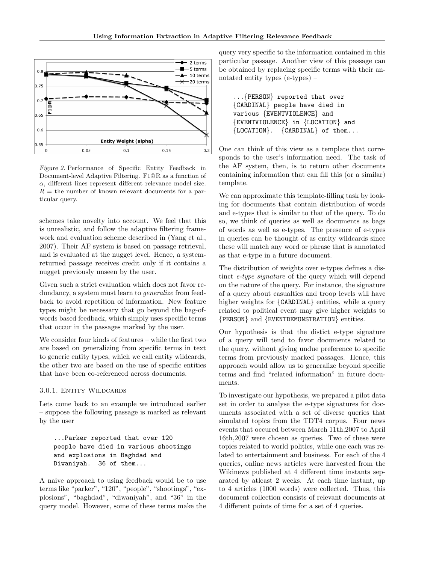

Figure 2. Performance of Specific Entity Feedback in Document-level Adaptive Filtering. F1@R as a function of  $\alpha$ , different lines represent different relevance model size.  $R =$  the number of known relevant documents for a particular query.

schemes take novelty into account. We feel that this is unrealistic, and follow the adaptive filtering framework and evaluation scheme described in (Yang et al., 2007). Their AF system is based on passage retrieval, and is evaluated at the nugget level. Hence, a systemreturned passage receives credit only if it contains a nugget previously unseen by the user.

Given such a strict evaluation which does not favor redundancy, a system must learn to *generalize* from feedback to avoid repetition of information. New feature types might be necessary that go beyond the bag-ofwords based feedback, which simply uses specific terms that occur in the passages marked by the user.

We consider four kinds of features – while the first two are based on generalizing from specific terms in text to generic entity types, which we call entity wildcards, the other two are based on the use of specific entities that have been co-referenced across documents.

### 3.0.1. Entity Wildcards

Lets come back to an example we introduced earlier – suppose the following passage is marked as relevant by the user

...Parker reported that over 120 people have died in various shootings and explosions in Baghdad and Diwaniyah. 36 of them...

A naive approach to using feedback would be to use terms like "parker", "120", "people", "shootings", "explosions", "baghdad", "diwaniyah", and "36" in the query model. However, some of these terms make the query very specific to the information contained in this particular passage. Another view of this passage can be obtained by replacing specific terms with their annotated entity types (e-types) –

...{PERSON} reported that over {CARDINAL} people have died in various {EVENTVIOLENCE} and {EVENTVIOLENCE} in {LOCATION} and {LOCATION}. {CARDINAL} of them...

One can think of this view as a template that corresponds to the user's information need. The task of the AF system, then, is to return other documents containing information that can fill this (or a similar) template.

We can approximate this template-filling task by looking for documents that contain distribution of words and e-types that is similar to that of the query. To do so, we think of queries as well as documents as bags of words as well as e-types. The presence of e-types in queries can be thought of as entity wildcards since these will match any word or phrase that is annotated as that e-type in a future document.

The distribution of weights over e-types defines a distinct e-type signature of the query which will depend on the nature of the query. For instance, the signature of a query about casualties and troop levels will have higher weights for  ${CARDINAL}$  entities, while a query related to political event may give higher weights to {PERSON} and {EVENTDEMONSTRATION} entities.

Our hypothesis is that the distict e-type signature of a query will tend to favor documents related to the query, without giving undue preference to specific terms from previously marked passages. Hence, this approach would allow us to generalize beyond specific terms and find "related information" in future documents.

To investigate our hypothesis, we prepared a pilot data set in order to analyse the e-type signatures for documents associated with a set of diverse queries that simulated topics from the TDT4 corpus. Four news events that occured between March 11th,2007 to April 16th,2007 were chosen as queries. Two of these were topics related to world politics, while one each was related to entertainment and business. For each of the 4 queries, online news articles were harvested from the Wikinews published at 4 different time instants separated by atleast 2 weeks. At each time instant, up to 4 articles (1000 words) were collected. Thus, this document collection consists of relevant documents at 4 different points of time for a set of 4 queries.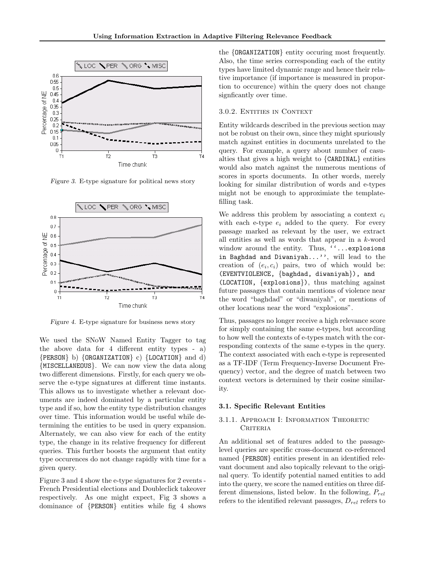

Figure 3. E-type signature for political news story



Figure 4. E-type signature for business news story

We used the SNoW Named Entity Tagger to tag the above data for 4 different entity types - a) {PERSON} b) {ORGANIZATION} c) {LOCATION} and d) {MISCELLANEOUS}. We can now view the data along two different dimensions. Firstly, for each query we observe the e-type signatures at different time instants. This allows us to investigate whether a relevant documents are indeed dominated by a particular entity type and if so, how the entity type distribution changes over time. This information would be useful while determining the entities to be used in query expansion. Alternately, we can also view for each of the entity type, the change in its relative frequency for different queries. This further boosts the argument that entity type occurences do not change rapidly with time for a given query.

Figure 3 and 4 show the e-type signatures for 2 events - French Presidential elections and Doubleclick takeover respectively. As one might expect, Fig 3 shows a dominance of {PERSON} entities while fig 4 shows

the {ORGANIZATION} entity occuring most frequently. Also, the time series corresponding each of the entity types have limited dynamic range and hence their relative importance (if importance is measured in proportion to occurence) within the query does not change signficantly over time.

#### 3.0.2. Entities in Context

Entity wildcards described in the previous section may not be robust on their own, since they might spuriously match against entities in documents unrelated to the query. For example, a query about number of casualties that gives a high weight to {CARDINAL} entities would also match against the numerous mentions of scores in sports documents. In other words, merely looking for similar distribution of words and e-types might not be enough to approximiate the templatefilling task.

We address this problem by associating a context  $c_i$ with each e-type  $e_i$  added to the query. For every passage marked as relevant by the user, we extract all entities as well as words that appear in a k-word window around the entity. Thus, ''...explosions in Baghdad and Diwaniyah...'', will lead to the creation of  $(e_i, c_i)$  pairs, two of which would be: (EVENTVIOLENCE, {baghdad, diwaniyah}), and (LOCATION, {explosions}), thus matching against future passages that contain mentions of violence near the word "baghdad" or "diwaniyah", or mentions of other locations near the word "explosions".

Thus, passages no longer receive a high relevance score for simply containing the same e-types, but according to how well the contexts of e-types match with the corresponding contexts of the same e-types in the query. The context associated with each e-type is represented as a TF-IDF (Term Frequency-Inverse Document Frequency) vector, and the degree of match between two context vectors is determined by their cosine similarity.

#### 3.1. Specific Relevant Entities

#### 3.1.1. Approach I: Information Theoretic CRITERIA

An additional set of features added to the passagelevel queries are specific cross-document co-referenced named {PERSON} entities present in an identified relevant document and also topically relevant to the original query. To identify potential named entities to add into the query, we score the named entities on three different dimensions, listed below. In the following,  $P_{rel}$ refers to the identified relevant passages,  $D_{rel}$  refers to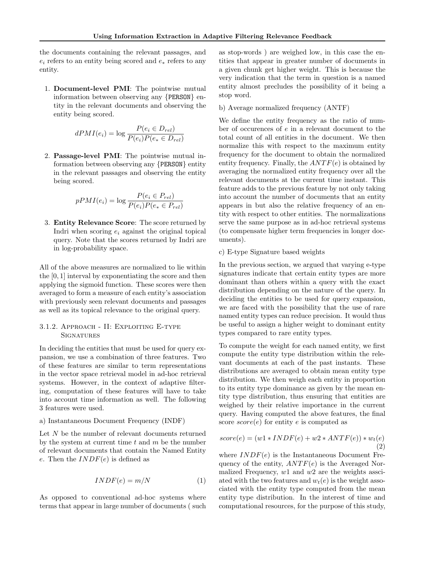the documents containing the relevant passages, and  $e_i$  refers to an entity being scored and  $e_*$  refers to any entity.

1. Document-level PMI: The pointwise mutual information between observing any {PERSON} entity in the relevant documents and observing the entity being scored.

$$
dPMI(e_i) = \log \frac{P(e_i \in D_{rel})}{P(e_i)P(e_* \in D_{rel})}
$$

2. Passage-level PMI: The pointwise mutual information between observing any {PERSON} entity in the relevant passages and observing the entity being scored.

$$
pPMI(e_i) = \log \frac{P(e_i \in P_{rel})}{P(e_i)P(e_* \in P_{rel})}
$$

3. Entity Relevance Score: The score returned by Indri when scoring  $e_i$  against the original topical query. Note that the scores returned by Indri are in log-probability space.

All of the above measures are normalized to lie within the [0, 1] interval by exponentiating the score and then applying the sigmoid function. These scores were then averaged to form a measure of each entity's association with previously seen relevant documents and passages as well as its topical relevance to the original query.

#### 3.1.2. Approach - II: Exploiting E-type **SIGNATURES**

In deciding the entities that must be used for query expansion, we use a combination of three features. Two of these features are similar to term representations in the vector space retrieval model in ad-hoc retrieval systems. However, in the context of adaptive filtering, computation of these features will have to take into account time information as well. The following 3 features were used.

#### a) Instantaneous Document Frequency (INDF)

Let N be the number of relevant documents returned by the system at current time  $t$  and  $m$  be the number of relevant documents that contain the Named Entity e. Then the  $INDF(e)$  is defined as

$$
INDF(e) = m/N \tag{1}
$$

As opposed to conventional ad-hoc systems where terms that appear in large number of documents ( such

as stop-words ) are weighed low, in this case the entities that appear in greater number of documents in a given chunk get higher weight. This is because the very indication that the term in question is a named entity almost precludes the possibility of it being a stop word.

b) Average normalized frequency (ANTF)

We define the entity frequency as the ratio of number of occurences of e in a relevant document to the total count of all entities in the document. We then normalize this with respect to the maximum entity frequency for the document to obtain the normalized entity frequency. Finally, the  $ANTF(e)$  is obtained by averaging the normalized entity frequency over all the relevant documents at the current time instant. This feature adds to the previous feature by not only taking into account the number of documents that an entity appears in but also the relative frequency of an entity with respect to other entities. The normalizations serve the same purpose as in ad-hoc retrieval systems (to compensate higher term frequencies in longer documents).

#### c) E-type Signature based weights

In the previous section, we argued that varying e-type signatures indicate that certain entity types are more dominant than others within a query with the exact distribution depending on the nature of the query. In deciding the entities to be used for query expansion, we are faced with the possibility that the use of rare named entity types can reduce precision. It would thus be useful to assign a higher weight to dominant entity types compared to rare entity types.

To compute the weight for each named entity, we first compute the entity type distribution within the relevant documents at each of the past instants. These distributions are averaged to obtain mean entity type distribution. We then weigh each entity in proportion to its entity type dominance as given by the mean entity type distribution, thus ensuring that entities are weighed by their relative importance in the current query. Having computed the above features, the final score  $score(e)$  for entity e is computed as

$$
score(e) = (w1 * INDF(e) + w2 * ANTF(e)) * w_t(e)
$$
  
(2)

where  $INDF(e)$  is the Instantaneous Document Frequency of the entity,  $ANTF(e)$  is the Averaged Normalized Frequency,  $w1$  and  $w2$  are the weights assciated with the two features and  $w_t(e)$  is the weight associated with the entity type computed from the mean entity type distribution. In the interest of time and computational resources, for the purpose of this study,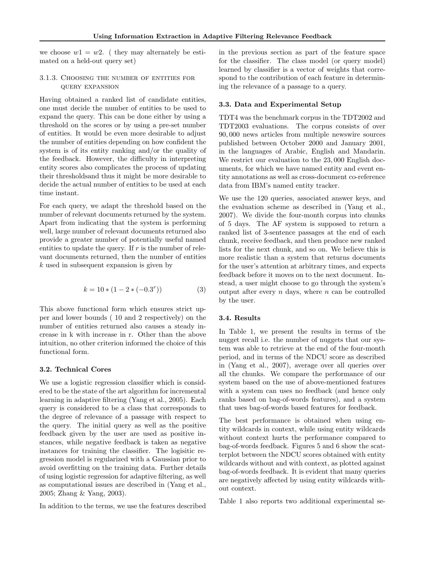we choose  $w_1 = w_2$ . (they may alternately be estimated on a held-out query set)

#### 3.1.3. Choosing the number of entities for query expansion

Having obtained a ranked list of candidate entities, one must decide the number of entities to be used to expand the query. This can be done either by using a threshold on the scores or by using a pre-set number of entities. It would be even more desirable to adjust the number of entities depending on how confident the system is of its entity ranking and/or the quality of the feedback. However, the difficulty in interpreting entity scores also complicates the process of updating their thresholdsand thus it might be more desirable to decide the actual number of entities to be used at each time instant.

For each query, we adapt the threshold based on the number of relevant documents returned by the system. Apart from indicating that the system is performing well, large number of relevant documents returned also provide a greater number of potentially useful named entities to update the query. If  $r$  is the number of relevant documents returned, then the number of entities k used in subsequent expansion is given by

$$
k = 10 * (1 - 2 * (-0.3r))
$$
 (3)

This above functional form which ensures strict upper and lower bounds ( 10 and 2 respectively) on the number of entities returned also causes a steady increase in k with increase in r. Other than the above intuition, no other criterion informed the choice of this functional form.

#### 3.2. Technical Cores

We use a logistic regression classifier which is considered to be the state of the art algorithm for incremental learning in adaptive filtering (Yang et al., 2005). Each query is considered to be a class that corresponds to the degree of relevance of a passage with respect to the query. The initial query as well as the positive feedback given by the user are used as positive instances, while negative feedback is taken as negative instances for training the classifier. The logisitic regression model is regularized with a Gaussian prior to avoid overfitting on the training data. Further details of using logistic regression for adaptive filtering, as well as computational issues are described in (Yang et al., 2005; Zhang & Yang, 2003).

In addition to the terms, we use the features described

in the previous section as part of the feature space for the classifier. The class model (or query model) learned by classifier is a vector of weights that correspond to the contribution of each feature in determining the relevance of a passage to a query.

#### 3.3. Data and Experimental Setup

TDT4 was the benchmark corpus in the TDT2002 and TDT2003 evaluations. The corpus consists of over 90, 000 news articles from multiple newswire sources published between October 2000 and January 2001, in the languages of Arabic, English and Mandarin. We restrict our evaluation to the 23, 000 English documents, for which we have named entity and event entity annotations as well as cross-document co-reference data from IBM's named entity tracker.

We use the 120 queries, associated answer keys, and the evaluation scheme as described in (Yang et al., 2007). We divide the four-month corpus into chunks of 5 days. The AF system is supposed to return a ranked list of 3-sentence passages at the end of each chunk, receive feedback, and then produce new ranked lists for the next chunk, and so on. We believe this is more realistic than a system that returns documents for the user's attention at arbitrary times, and expects feedback before it moves on to the next document. Instead, a user might choose to go through the system's output after every  $n$  days, where  $n$  can be controlled by the user.

#### 3.4. Results

In Table 1, we present the results in terms of the nugget recall i.e. the number of nuggets that our system was able to retrieve at the end of the four-month period, and in terms of the NDCU score as described in (Yang et al., 2007), average over all queries over all the chunks. We compare the performance of our system based on the use of above-mentioned features with a system can uses no feedback (and hence only ranks based on bag-of-words features), and a system that uses bag-of-words based features for feedback.

The best performance is obtained when using entity wildcards in context, while using entity wildcards without context hurts the performance compared to bag-of-words feedback. Figures 5 and 6 show the scatterplot between the NDCU scores obtained with entity wildcards without and with context, as plotted against bag-of-words feedback. It is evident that many queries are negatively affected by using entity wildcards without context.

Table 1 also reports two additional experimental se-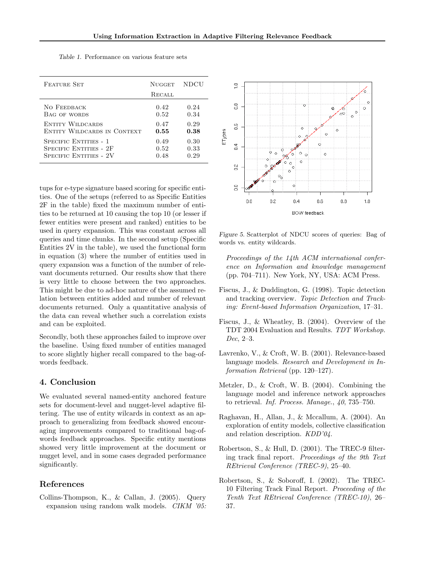| <b>FEATURE SET</b>            | <b>NUGGET</b> | NDCU |
|-------------------------------|---------------|------|
|                               | <b>RECALL</b> |      |
| NO FEEDBACK                   | 0.42          | 0.24 |
| BAG OF WORDS                  | 0.52          | 0.34 |
| <b>ENTITY WILDCARDS</b>       | 0.47          | 0.29 |
| ENTITY WILDCARDS IN CONTEXT   | 0.55          | 0.38 |
| SPECIFIC ENTITIES - 1         | 0.49          | 0.30 |
| <b>SPECIFIC ENTITIES - 2F</b> | 0.52          | 0.33 |
| SPECIFIC ENTITIES - 2V        | 0.48          | 0.29 |

Table 1. Performance on various feature sets

tups for e-type signature based scoring for specific entities. One of the setups (referred to as Specific Entities 2F in the table) fixed the maximum number of entities to be returned at 10 causing the top 10 (or lesser if fewer entities were present and ranked) entities to be used in query expansion. This was constant across all queries and time chunks. In the second setup (Specific Entities 2V in the table), we used the functional form in equation (3) where the number of entities used in query expansion was a function of the number of relevant documents returned. Our results show that there is very little to choose between the two approaches. This might be due to ad-hoc nature of the assumed relation between entities added and number of relevant documents returned. Only a quantitative analysis of the data can reveal whether such a correlation exists and can be exploited.

Secondly, both these approaches failed to improve over the baseline. Using fixed number of entities managed to score slightly higher recall compared to the bag-ofwords feedback.

### 4. Conclusion

We evaluated several named-entity anchored feature sets for document-level and nugget-level adaptive filtering. The use of entity wilcards in context as an approach to generalizing from feedback showed encouraging improvements compared to traditional bag-ofwords feedback approaches. Specific entity mentions showed very little improvement at the document or nugget level, and in some cases degraded performance significantly.

# References

Collins-Thompson, K., & Callan, J. (2005). Query expansion using random walk models. CIKM '05:



Figure 5. Scatterplot of NDCU scores of queries: Bag of words vs. entity wildcards.

Proceedings of the 14th ACM international conference on Information and knowledge management (pp. 704–711). New York, NY, USA: ACM Press.

- Fiscus, J., & Duddington, G. (1998). Topic detection and tracking overview. Topic Detection and Tracking: Event-based Information Organization, 17–31.
- Fiscus, J., & Wheatley, B. (2004). Overview of the TDT 2004 Evaluation and Results. TDT Workshop. Dec, 2–3.
- Lavrenko, V., & Croft, W. B. (2001). Relevance-based language models. Research and Development in Information Retrieval (pp. 120–127).
- Metzler, D., & Croft, W. B. (2004). Combining the language model and inference network approaches to retrieval. Inf. Process. Manage., 40, 735–750.
- Raghavan, H., Allan, J., & Mccallum, A. (2004). An exploration of entity models, collective classification and relation description. KDD'04.
- Robertson, S., & Hull, D. (2001). The TREC-9 filtering track final report. Proceedings of the 9th Text REtrieval Conference (TREC-9), 25–40.
- Robertson, S., & Soboroff, I. (2002). The TREC-10 Filtering Track Final Report. Proceeding of the Tenth Text REtrieval Conference (TREC-10), 26– 37.